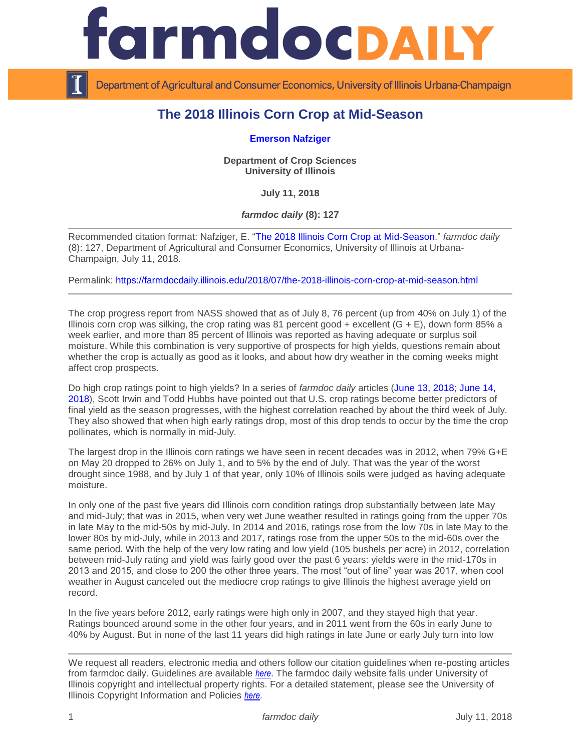

Department of Agricultural and Consumer Economics, University of Illinois Urbana-Champaign

## **The 2018 Illinois Corn Crop at Mid-Season**

## **[Emerson Nafziger](https://cropsciences.illinois.edu/people/profile/ednaf)**

**Department of Crop Sciences University of Illinois**

**July 11, 2018**

*farmdoc daily* **(8): 127**

Recommended citation format: Nafziger, E. "The 2018 [Illinois Corn Crop at Mid-Season.](https://farmdocdaily.illinois.edu/2018/07/the-2018-illinois-corn-crop-at-mid-season.html)" *farmdoc daily*  (8): 127, Department of Agricultural and Consumer Economics, University of Illinois at Urbana-Champaign, July 11, 2018.

Permalink:<https://farmdocdaily.illinois.edu/2018/07/the-2018-illinois-corn-crop-at-mid-season.html>

The crop progress report from NASS showed that as of July 8, 76 percent (up from 40% on July 1) of the Illinois corn crop was silking, the crop rating was 81 percent good  $+$  excellent  $(G + E)$ , down form 85% a week earlier, and more than 85 percent of Illinois was reported as having adequate or surplus soil moisture. While this combination is very supportive of prospects for high yields, questions remain about whether the crop is actually as good as it looks, and about how dry weather in the coming weeks might affect crop prospects.

Do high crop ratings point to high yields? In a series of *farmdoc daily* articles [\(June 13, 2018;](https://farmdocdaily.illinois.edu/2018/06/what-to-make-of-high-early-season-crop-condition.html) [June 14,](https://farmdocdaily.illinois.edu/2018/06/high-early-season-crop-condition-ratings-soybeans.html)  [2018\)](https://farmdocdaily.illinois.edu/2018/06/high-early-season-crop-condition-ratings-soybeans.html), Scott Irwin and Todd Hubbs have pointed out that U.S. crop ratings become better predictors of final yield as the season progresses, with the highest correlation reached by about the third week of July. They also showed that when high early ratings drop, most of this drop tends to occur by the time the crop pollinates, which is normally in mid-July.

The largest drop in the Illinois corn ratings we have seen in recent decades was in 2012, when 79% G+E on May 20 dropped to 26% on July 1, and to 5% by the end of July. That was the year of the worst drought since 1988, and by July 1 of that year, only 10% of Illinois soils were judged as having adequate moisture.

In only one of the past five years did Illinois corn condition ratings drop substantially between late May and mid-July; that was in 2015, when very wet June weather resulted in ratings going from the upper 70s in late May to the mid-50s by mid-July. In 2014 and 2016, ratings rose from the low 70s in late May to the lower 80s by mid-July, while in 2013 and 2017, ratings rose from the upper 50s to the mid-60s over the same period. With the help of the very low rating and low yield (105 bushels per acre) in 2012, correlation between mid-July rating and yield was fairly good over the past 6 years: yields were in the mid-170s in 2013 and 2015, and close to 200 the other three years. The most "out of line" year was 2017, when cool weather in August canceled out the mediocre crop ratings to give Illinois the highest average yield on record.

In the five years before 2012, early ratings were high only in 2007, and they stayed high that year. Ratings bounced around some in the other four years, and in 2011 went from the 60s in early June to 40% by August. But in none of the last 11 years did high ratings in late June or early July turn into low

We request all readers, electronic media and others follow our citation guidelines when re-posting articles from farmdoc daily. Guidelines are available *[here](http://farmdocdaily.illinois.edu/citationguide.html)*. The farmdoc daily website falls under University of Illinois copyright and intellectual property rights. For a detailed statement, please see the University of Illinois Copyright Information and Policies *[here](http://www.cio.illinois.edu/policies/copyright/)*.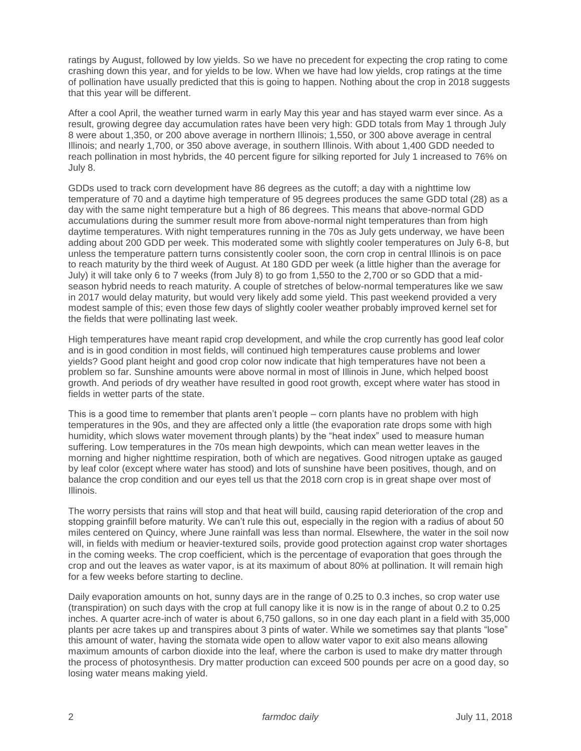ratings by August, followed by low yields. So we have no precedent for expecting the crop rating to come crashing down this year, and for yields to be low. When we have had low yields, crop ratings at the time of pollination have usually predicted that this is going to happen. Nothing about the crop in 2018 suggests that this year will be different.

After a cool April, the weather turned warm in early May this year and has stayed warm ever since. As a result, growing degree day accumulation rates have been very high: GDD totals from May 1 through July 8 were about 1,350, or 200 above average in northern Illinois; 1,550, or 300 above average in central Illinois; and nearly 1,700, or 350 above average, in southern Illinois. With about 1,400 GDD needed to reach pollination in most hybrids, the 40 percent figure for silking reported for July 1 increased to 76% on July 8.

GDDs used to track corn development have 86 degrees as the cutoff; a day with a nighttime low temperature of 70 and a daytime high temperature of 95 degrees produces the same GDD total (28) as a day with the same night temperature but a high of 86 degrees. This means that above-normal GDD accumulations during the summer result more from above-normal night temperatures than from high daytime temperatures. With night temperatures running in the 70s as July gets underway, we have been adding about 200 GDD per week. This moderated some with slightly cooler temperatures on July 6-8, but unless the temperature pattern turns consistently cooler soon, the corn crop in central Illinois is on pace to reach maturity by the third week of August. At 180 GDD per week (a little higher than the average for July) it will take only 6 to 7 weeks (from July 8) to go from 1,550 to the 2,700 or so GDD that a midseason hybrid needs to reach maturity. A couple of stretches of below-normal temperatures like we saw in 2017 would delay maturity, but would very likely add some yield. This past weekend provided a very modest sample of this; even those few days of slightly cooler weather probably improved kernel set for the fields that were pollinating last week.

High temperatures have meant rapid crop development, and while the crop currently has good leaf color and is in good condition in most fields, will continued high temperatures cause problems and lower yields? Good plant height and good crop color now indicate that high temperatures have not been a problem so far. Sunshine amounts were above normal in most of Illinois in June, which helped boost growth. And periods of dry weather have resulted in good root growth, except where water has stood in fields in wetter parts of the state.

This is a good time to remember that plants aren't people – corn plants have no problem with high temperatures in the 90s, and they are affected only a little (the evaporation rate drops some with high humidity, which slows water movement through plants) by the "heat index" used to measure human suffering. Low temperatures in the 70s mean high dewpoints, which can mean wetter leaves in the morning and higher nighttime respiration, both of which are negatives. Good nitrogen uptake as gauged by leaf color (except where water has stood) and lots of sunshine have been positives, though, and on balance the crop condition and our eyes tell us that the 2018 corn crop is in great shape over most of Illinois.

The worry persists that rains will stop and that heat will build, causing rapid deterioration of the crop and stopping grainfill before maturity. We can't rule this out, especially in the region with a radius of about 50 miles centered on Quincy, where June rainfall was less than normal. Elsewhere, the water in the soil now will, in fields with medium or heavier-textured soils, provide good protection against crop water shortages in the coming weeks. The crop coefficient, which is the percentage of evaporation that goes through the crop and out the leaves as water vapor, is at its maximum of about 80% at pollination. It will remain high for a few weeks before starting to decline.

Daily evaporation amounts on hot, sunny days are in the range of 0.25 to 0.3 inches, so crop water use (transpiration) on such days with the crop at full canopy like it is now is in the range of about 0.2 to 0.25 inches. A quarter acre-inch of water is about 6,750 gallons, so in one day each plant in a field with 35,000 plants per acre takes up and transpires about 3 pints of water. While we sometimes say that plants "lose" this amount of water, having the stomata wide open to allow water vapor to exit also means allowing maximum amounts of carbon dioxide into the leaf, where the carbon is used to make dry matter through the process of photosynthesis. Dry matter production can exceed 500 pounds per acre on a good day, so losing water means making yield.